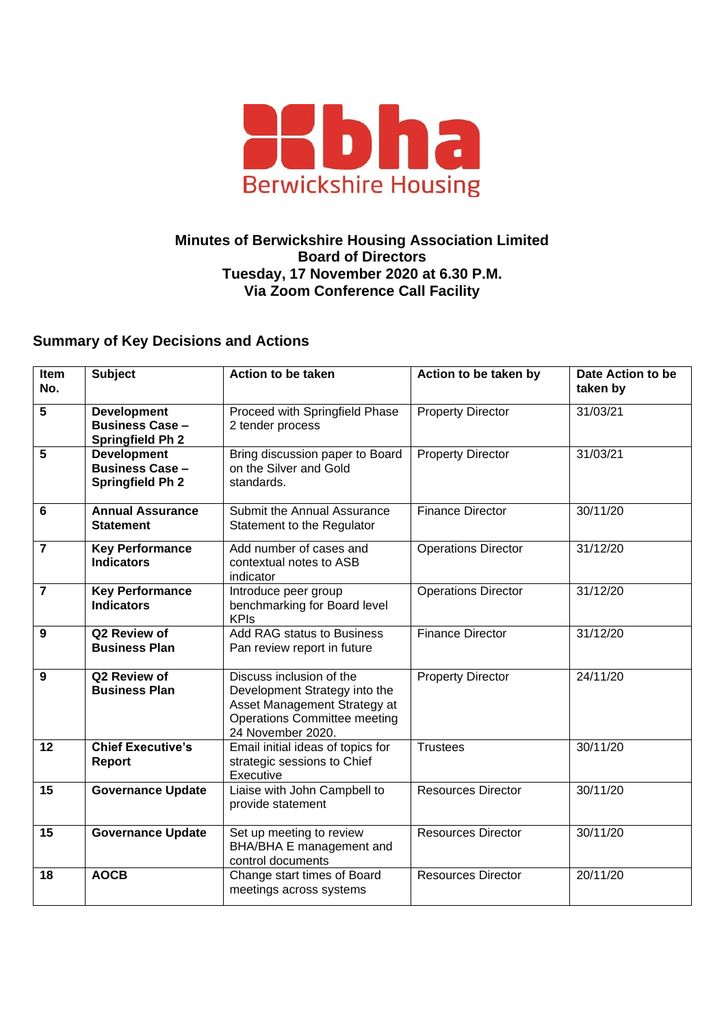

## **Minutes of Berwickshire Housing Association Limited Board of Directors Tuesday, 17 November 2020 at 6.30 P.M. Via Zoom Conference Call Facility**

## **Summary of Key Decisions and Actions**

| Item<br>No.    | <b>Subject</b>                                                          | <b>Action to be taken</b>                                                                                                                             | Action to be taken by      | Date Action to be<br>taken by |
|----------------|-------------------------------------------------------------------------|-------------------------------------------------------------------------------------------------------------------------------------------------------|----------------------------|-------------------------------|
| 5              | <b>Development</b><br><b>Business Case -</b><br>Springfield Ph 2        | Proceed with Springfield Phase<br>2 tender process                                                                                                    | <b>Property Director</b>   | 31/03/21                      |
| 5              | <b>Development</b><br><b>Business Case -</b><br><b>Springfield Ph 2</b> | Bring discussion paper to Board<br>on the Silver and Gold<br>standards.                                                                               | <b>Property Director</b>   | 31/03/21                      |
| 6              | <b>Annual Assurance</b><br><b>Statement</b>                             | Submit the Annual Assurance<br>Statement to the Regulator                                                                                             | <b>Finance Director</b>    | 30/11/20                      |
| 7              | <b>Key Performance</b><br><b>Indicators</b>                             | Add number of cases and<br>contextual notes to ASB<br>indicator                                                                                       | <b>Operations Director</b> | 31/12/20                      |
| $\overline{7}$ | <b>Key Performance</b><br><b>Indicators</b>                             | Introduce peer group<br>benchmarking for Board level<br><b>KPIs</b>                                                                                   | <b>Operations Director</b> | 31/12/20                      |
| 9              | Q2 Review of<br><b>Business Plan</b>                                    | <b>Add RAG status to Business</b><br>Pan review report in future                                                                                      | <b>Finance Director</b>    | 31/12/20                      |
| 9              | Q2 Review of<br><b>Business Plan</b>                                    | Discuss inclusion of the<br>Development Strategy into the<br>Asset Management Strategy at<br><b>Operations Committee meeting</b><br>24 November 2020. | <b>Property Director</b>   | 24/11/20                      |
| 12             | <b>Chief Executive's</b><br><b>Report</b>                               | Email initial ideas of topics for<br>strategic sessions to Chief<br>Executive                                                                         | <b>Trustees</b>            | 30/11/20                      |
| 15             | <b>Governance Update</b>                                                | Liaise with John Campbell to<br>provide statement                                                                                                     | <b>Resources Director</b>  | 30/11/20                      |
| 15             | <b>Governance Update</b>                                                | Set up meeting to review<br>BHA/BHA E management and<br>control documents                                                                             | <b>Resources Director</b>  | 30/11/20                      |
| 18             | <b>AOCB</b>                                                             | Change start times of Board<br>meetings across systems                                                                                                | <b>Resources Director</b>  | 20/11/20                      |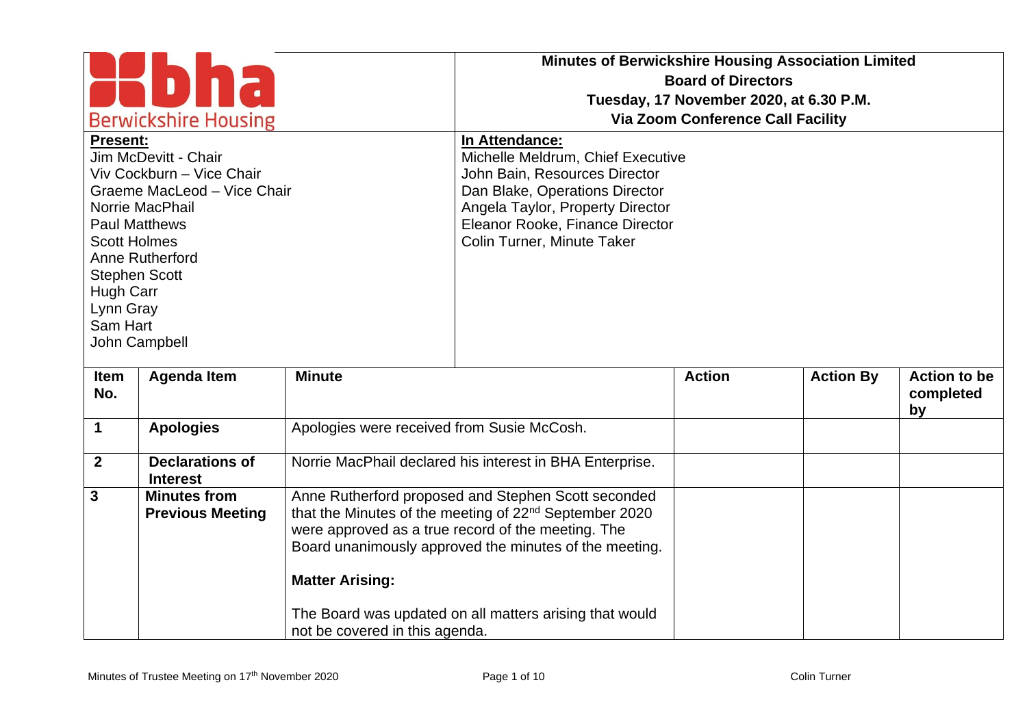| <b>Berwickshire Housing</b><br><b>Present:</b>                                                                               |                                                |                                                          | <b>Minutes of Berwickshire Housing Association Limited</b><br><b>Board of Directors</b><br>Tuesday, 17 November 2020, at 6.30 P.M.<br><b>Via Zoom Conference Call Facility</b><br>In Attendance:                                          |               |                  |                                        |  |
|------------------------------------------------------------------------------------------------------------------------------|------------------------------------------------|----------------------------------------------------------|-------------------------------------------------------------------------------------------------------------------------------------------------------------------------------------------------------------------------------------------|---------------|------------------|----------------------------------------|--|
| Jim McDevitt - Chair<br>Viv Cockburn - Vice Chair<br>Graeme MacLeod - Vice Chair<br>Norrie MacPhail<br><b>Paul Matthews</b>  |                                                |                                                          | Michelle Meldrum, Chief Executive<br>John Bain, Resources Director<br>Dan Blake, Operations Director<br>Angela Taylor, Property Director<br>Eleanor Rooke, Finance Director                                                               |               |                  |                                        |  |
| <b>Scott Holmes</b><br>Anne Rutherford<br><b>Stephen Scott</b><br><b>Hugh Carr</b><br>Lynn Gray<br>Sam Hart<br>John Campbell |                                                |                                                          | Colin Turner, Minute Taker                                                                                                                                                                                                                |               |                  |                                        |  |
| Item<br>No.                                                                                                                  | <b>Agenda Item</b>                             | <b>Minute</b>                                            |                                                                                                                                                                                                                                           | <b>Action</b> | <b>Action By</b> | <b>Action to be</b><br>completed<br>by |  |
| $\mathbf 1$                                                                                                                  | <b>Apologies</b>                               | Apologies were received from Susie McCosh.               |                                                                                                                                                                                                                                           |               |                  |                                        |  |
| $\mathbf{2}$                                                                                                                 | <b>Declarations of</b><br><b>Interest</b>      |                                                          | Norrie MacPhail declared his interest in BHA Enterprise.                                                                                                                                                                                  |               |                  |                                        |  |
| $\mathbf{3}$                                                                                                                 | <b>Minutes from</b><br><b>Previous Meeting</b> |                                                          | Anne Rutherford proposed and Stephen Scott seconded<br>that the Minutes of the meeting of 22 <sup>nd</sup> September 2020<br>were approved as a true record of the meeting. The<br>Board unanimously approved the minutes of the meeting. |               |                  |                                        |  |
|                                                                                                                              |                                                | <b>Matter Arising:</b><br>not be covered in this agenda. | The Board was updated on all matters arising that would                                                                                                                                                                                   |               |                  |                                        |  |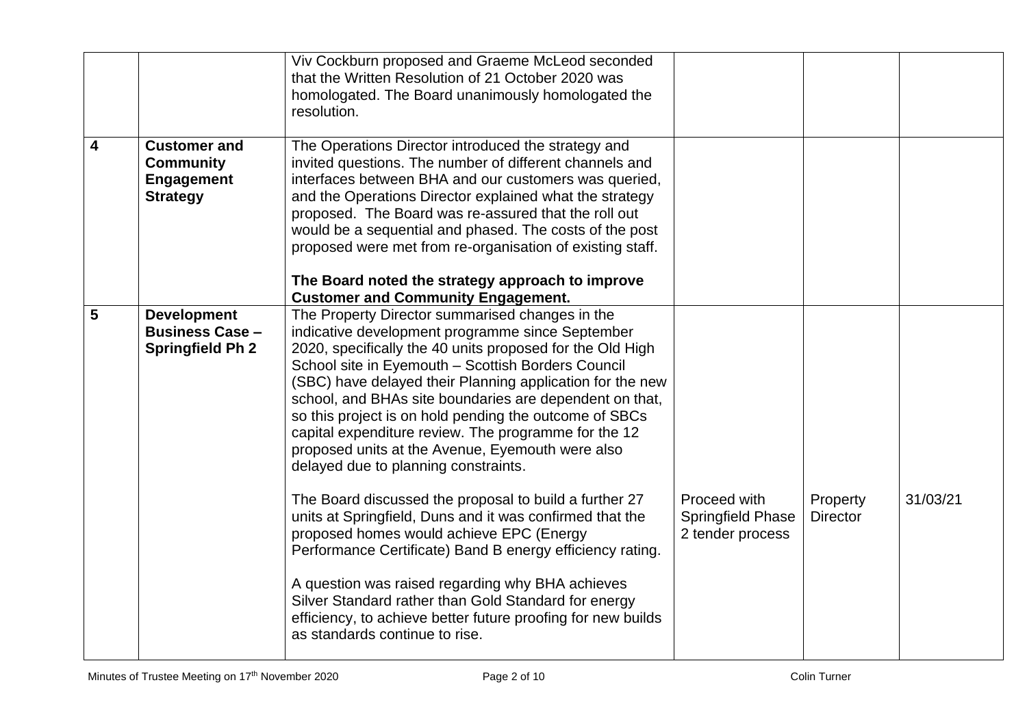|                         |                                                                                 | Viv Cockburn proposed and Graeme McLeod seconded<br>that the Written Resolution of 21 October 2020 was<br>homologated. The Board unanimously homologated the<br>resolution.                                                                                                                                                                                                                                                                                                                                                                                                                                                                                                                                                                                                                                                                     |                                                              |                             |          |
|-------------------------|---------------------------------------------------------------------------------|-------------------------------------------------------------------------------------------------------------------------------------------------------------------------------------------------------------------------------------------------------------------------------------------------------------------------------------------------------------------------------------------------------------------------------------------------------------------------------------------------------------------------------------------------------------------------------------------------------------------------------------------------------------------------------------------------------------------------------------------------------------------------------------------------------------------------------------------------|--------------------------------------------------------------|-----------------------------|----------|
| $\overline{\mathbf{4}}$ | <b>Customer and</b><br><b>Community</b><br><b>Engagement</b><br><b>Strategy</b> | The Operations Director introduced the strategy and<br>invited questions. The number of different channels and<br>interfaces between BHA and our customers was queried,<br>and the Operations Director explained what the strategy<br>proposed. The Board was re-assured that the roll out<br>would be a sequential and phased. The costs of the post<br>proposed were met from re-organisation of existing staff.<br>The Board noted the strategy approach to improve<br><b>Customer and Community Engagement.</b>                                                                                                                                                                                                                                                                                                                             |                                                              |                             |          |
| 5                       | <b>Development</b><br><b>Business Case -</b><br><b>Springfield Ph 2</b>         | The Property Director summarised changes in the<br>indicative development programme since September<br>2020, specifically the 40 units proposed for the Old High<br>School site in Eyemouth - Scottish Borders Council<br>(SBC) have delayed their Planning application for the new<br>school, and BHAs site boundaries are dependent on that,<br>so this project is on hold pending the outcome of SBCs<br>capital expenditure review. The programme for the 12<br>proposed units at the Avenue, Eyemouth were also<br>delayed due to planning constraints.<br>The Board discussed the proposal to build a further 27<br>units at Springfield, Duns and it was confirmed that the<br>proposed homes would achieve EPC (Energy<br>Performance Certificate) Band B energy efficiency rating.<br>A question was raised regarding why BHA achieves | Proceed with<br><b>Springfield Phase</b><br>2 tender process | Property<br><b>Director</b> | 31/03/21 |
|                         |                                                                                 | Silver Standard rather than Gold Standard for energy<br>efficiency, to achieve better future proofing for new builds<br>as standards continue to rise.                                                                                                                                                                                                                                                                                                                                                                                                                                                                                                                                                                                                                                                                                          |                                                              |                             |          |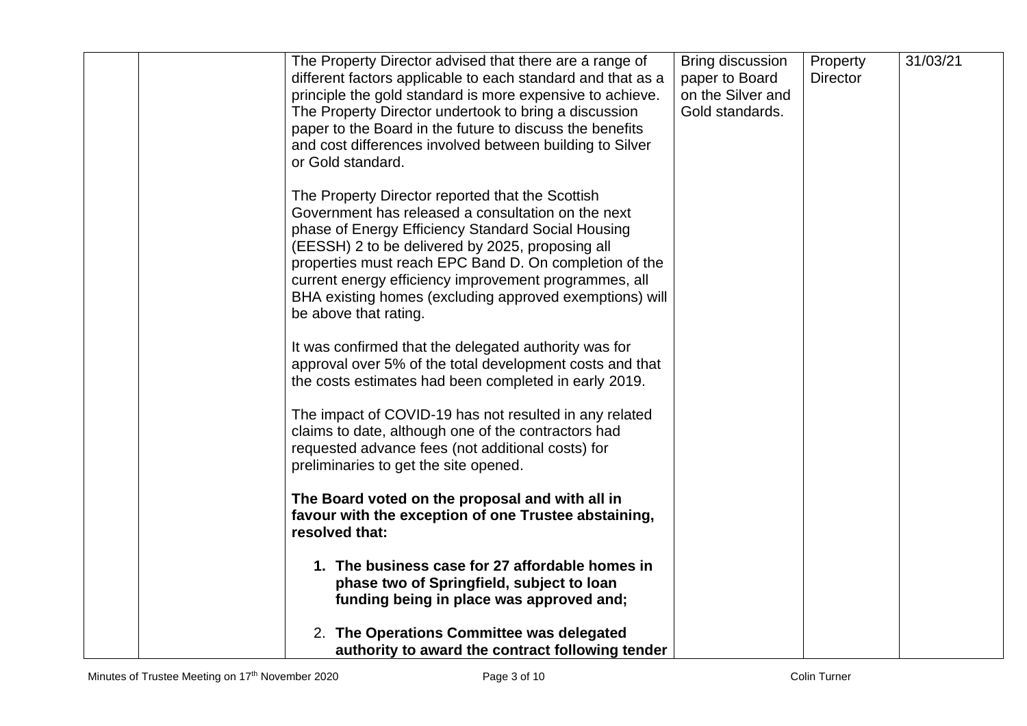|  | The Property Director advised that there are a range of<br>different factors applicable to each standard and that as a<br>principle the gold standard is more expensive to achieve.<br>The Property Director undertook to bring a discussion<br>paper to the Board in the future to discuss the benefits<br>and cost differences involved between building to Silver<br>or Gold standard.                               | Bring discussion<br>paper to Board<br>on the Silver and<br>Gold standards. | Property<br><b>Director</b> | 31/03/21 |
|--|-------------------------------------------------------------------------------------------------------------------------------------------------------------------------------------------------------------------------------------------------------------------------------------------------------------------------------------------------------------------------------------------------------------------------|----------------------------------------------------------------------------|-----------------------------|----------|
|  | The Property Director reported that the Scottish<br>Government has released a consultation on the next<br>phase of Energy Efficiency Standard Social Housing<br>(EESSH) 2 to be delivered by 2025, proposing all<br>properties must reach EPC Band D. On completion of the<br>current energy efficiency improvement programmes, all<br>BHA existing homes (excluding approved exemptions) will<br>be above that rating. |                                                                            |                             |          |
|  | It was confirmed that the delegated authority was for<br>approval over 5% of the total development costs and that<br>the costs estimates had been completed in early 2019.                                                                                                                                                                                                                                              |                                                                            |                             |          |
|  | The impact of COVID-19 has not resulted in any related<br>claims to date, although one of the contractors had<br>requested advance fees (not additional costs) for<br>preliminaries to get the site opened.                                                                                                                                                                                                             |                                                                            |                             |          |
|  | The Board voted on the proposal and with all in<br>favour with the exception of one Trustee abstaining,<br>resolved that:                                                                                                                                                                                                                                                                                               |                                                                            |                             |          |
|  | 1. The business case for 27 affordable homes in<br>phase two of Springfield, subject to loan<br>funding being in place was approved and;                                                                                                                                                                                                                                                                                |                                                                            |                             |          |
|  | 2. The Operations Committee was delegated<br>authority to award the contract following tender                                                                                                                                                                                                                                                                                                                           |                                                                            |                             |          |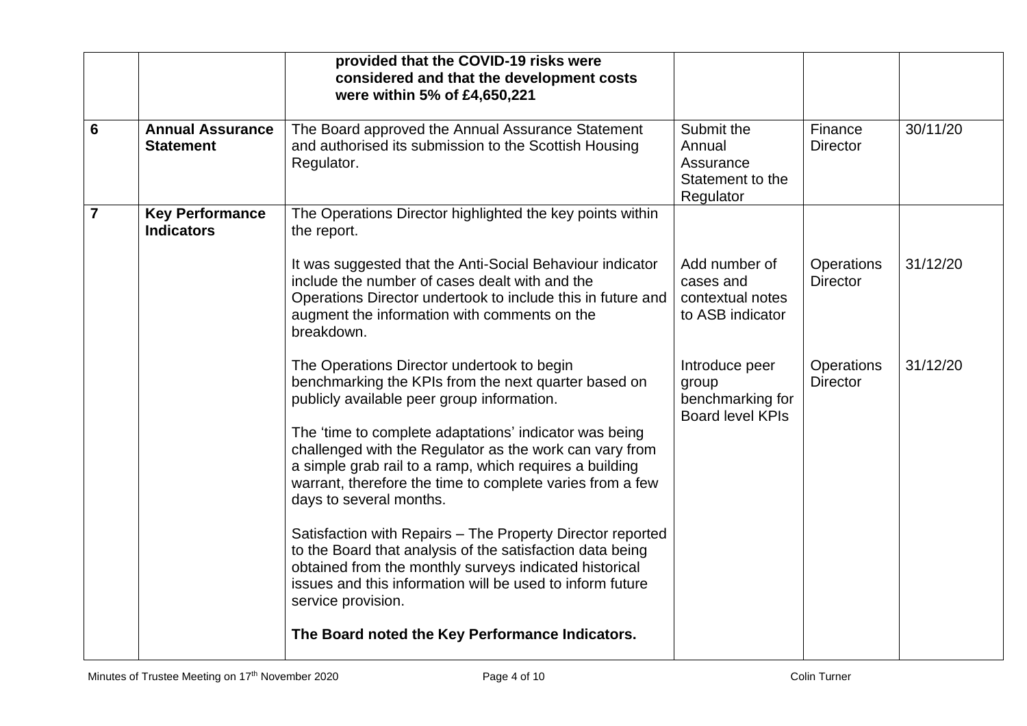|                |                                             | provided that the COVID-19 risks were<br>considered and that the development costs<br>were within 5% of £4,650,221                                                                                                                                                   |                                                                        |                                      |          |
|----------------|---------------------------------------------|----------------------------------------------------------------------------------------------------------------------------------------------------------------------------------------------------------------------------------------------------------------------|------------------------------------------------------------------------|--------------------------------------|----------|
| $6\phantom{1}$ | <b>Annual Assurance</b><br><b>Statement</b> | The Board approved the Annual Assurance Statement<br>and authorised its submission to the Scottish Housing<br>Regulator.                                                                                                                                             | Submit the<br>Annual<br>Assurance<br>Statement to the<br>Regulator     | Finance<br><b>Director</b>           | 30/11/20 |
| $\overline{7}$ | <b>Key Performance</b><br><b>Indicators</b> | The Operations Director highlighted the key points within<br>the report.                                                                                                                                                                                             |                                                                        |                                      |          |
|                |                                             | It was suggested that the Anti-Social Behaviour indicator<br>include the number of cases dealt with and the<br>Operations Director undertook to include this in future and<br>augment the information with comments on the<br>breakdown.                             | Add number of<br>cases and<br>contextual notes<br>to ASB indicator     | <b>Operations</b><br><b>Director</b> | 31/12/20 |
|                |                                             | The Operations Director undertook to begin<br>benchmarking the KPIs from the next quarter based on<br>publicly available peer group information.                                                                                                                     | Introduce peer<br>group<br>benchmarking for<br><b>Board level KPIs</b> | Operations<br><b>Director</b>        | 31/12/20 |
|                |                                             | The 'time to complete adaptations' indicator was being<br>challenged with the Regulator as the work can vary from<br>a simple grab rail to a ramp, which requires a building<br>warrant, therefore the time to complete varies from a few<br>days to several months. |                                                                        |                                      |          |
|                |                                             | Satisfaction with Repairs - The Property Director reported<br>to the Board that analysis of the satisfaction data being<br>obtained from the monthly surveys indicated historical<br>issues and this information will be used to inform future<br>service provision. |                                                                        |                                      |          |
|                |                                             | The Board noted the Key Performance Indicators.                                                                                                                                                                                                                      |                                                                        |                                      |          |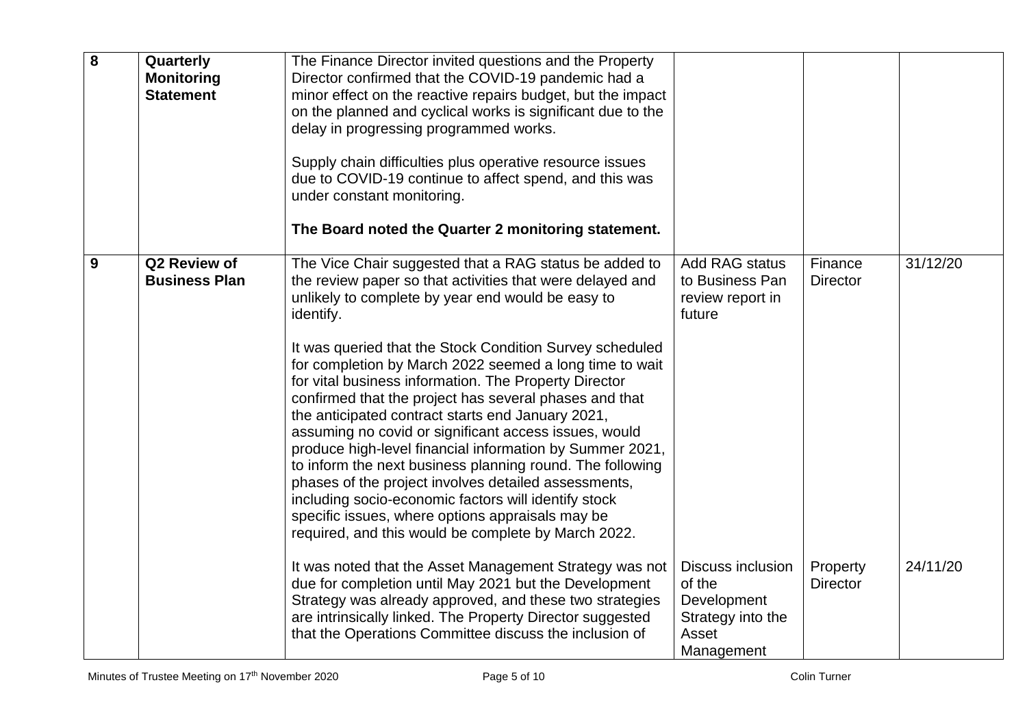| 8 | Quarterly<br><b>Monitoring</b><br><b>Statement</b> | The Finance Director invited questions and the Property<br>Director confirmed that the COVID-19 pandemic had a<br>minor effect on the reactive repairs budget, but the impact<br>on the planned and cyclical works is significant due to the<br>delay in progressing programmed works.<br>Supply chain difficulties plus operative resource issues<br>due to COVID-19 continue to affect spend, and this was<br>under constant monitoring.<br>The Board noted the Quarter 2 monitoring statement.                                                                                                                                                                                                                                                                                                                                                                                                 |                                                                                               |                             |          |
|---|----------------------------------------------------|---------------------------------------------------------------------------------------------------------------------------------------------------------------------------------------------------------------------------------------------------------------------------------------------------------------------------------------------------------------------------------------------------------------------------------------------------------------------------------------------------------------------------------------------------------------------------------------------------------------------------------------------------------------------------------------------------------------------------------------------------------------------------------------------------------------------------------------------------------------------------------------------------|-----------------------------------------------------------------------------------------------|-----------------------------|----------|
| 9 | Q2 Review of<br><b>Business Plan</b>               | The Vice Chair suggested that a RAG status be added to<br>the review paper so that activities that were delayed and<br>unlikely to complete by year end would be easy to<br>identify.<br>It was queried that the Stock Condition Survey scheduled<br>for completion by March 2022 seemed a long time to wait<br>for vital business information. The Property Director<br>confirmed that the project has several phases and that<br>the anticipated contract starts end January 2021,<br>assuming no covid or significant access issues, would<br>produce high-level financial information by Summer 2021,<br>to inform the next business planning round. The following<br>phases of the project involves detailed assessments,<br>including socio-economic factors will identify stock<br>specific issues, where options appraisals may be<br>required, and this would be complete by March 2022. | <b>Add RAG status</b><br>to Business Pan<br>review report in<br>future                        | Finance<br><b>Director</b>  | 31/12/20 |
|   |                                                    | It was noted that the Asset Management Strategy was not<br>due for completion until May 2021 but the Development<br>Strategy was already approved, and these two strategies<br>are intrinsically linked. The Property Director suggested<br>that the Operations Committee discuss the inclusion of                                                                                                                                                                                                                                                                                                                                                                                                                                                                                                                                                                                                | <b>Discuss inclusion</b><br>of the<br>Development<br>Strategy into the<br>Asset<br>Management | Property<br><b>Director</b> | 24/11/20 |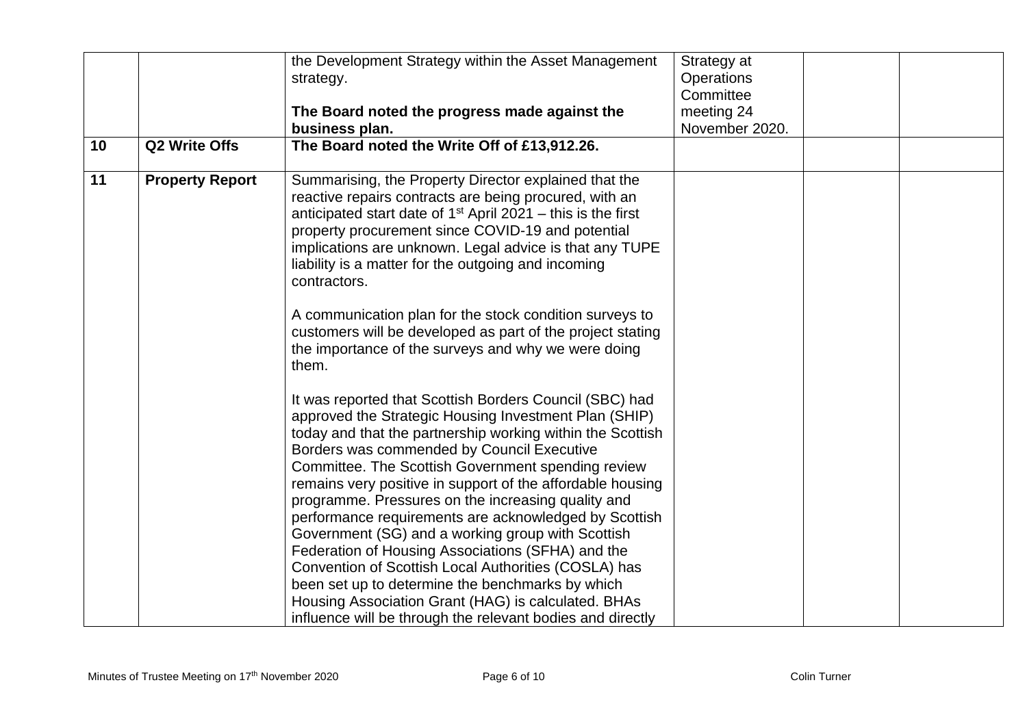| 10 | Q2 Write Offs          | the Development Strategy within the Asset Management<br>strategy.<br>The Board noted the progress made against the<br>business plan.<br>The Board noted the Write Off of £13,912.26.                                                                                                                                                                                                                                                                                                                                                                                                                                                                                                                                                                                                                                                                                                                                                                                                                                                                                                                                                                                                                                                                                                                                                                                            | Strategy at<br><b>Operations</b><br>Committee<br>meeting 24<br>November 2020. |  |
|----|------------------------|---------------------------------------------------------------------------------------------------------------------------------------------------------------------------------------------------------------------------------------------------------------------------------------------------------------------------------------------------------------------------------------------------------------------------------------------------------------------------------------------------------------------------------------------------------------------------------------------------------------------------------------------------------------------------------------------------------------------------------------------------------------------------------------------------------------------------------------------------------------------------------------------------------------------------------------------------------------------------------------------------------------------------------------------------------------------------------------------------------------------------------------------------------------------------------------------------------------------------------------------------------------------------------------------------------------------------------------------------------------------------------|-------------------------------------------------------------------------------|--|
| 11 | <b>Property Report</b> | Summarising, the Property Director explained that the<br>reactive repairs contracts are being procured, with an<br>anticipated start date of $1st$ April 2021 – this is the first<br>property procurement since COVID-19 and potential<br>implications are unknown. Legal advice is that any TUPE<br>liability is a matter for the outgoing and incoming<br>contractors.<br>A communication plan for the stock condition surveys to<br>customers will be developed as part of the project stating<br>the importance of the surveys and why we were doing<br>them.<br>It was reported that Scottish Borders Council (SBC) had<br>approved the Strategic Housing Investment Plan (SHIP)<br>today and that the partnership working within the Scottish<br>Borders was commended by Council Executive<br>Committee. The Scottish Government spending review<br>remains very positive in support of the affordable housing<br>programme. Pressures on the increasing quality and<br>performance requirements are acknowledged by Scottish<br>Government (SG) and a working group with Scottish<br>Federation of Housing Associations (SFHA) and the<br>Convention of Scottish Local Authorities (COSLA) has<br>been set up to determine the benchmarks by which<br>Housing Association Grant (HAG) is calculated. BHAs<br>influence will be through the relevant bodies and directly |                                                                               |  |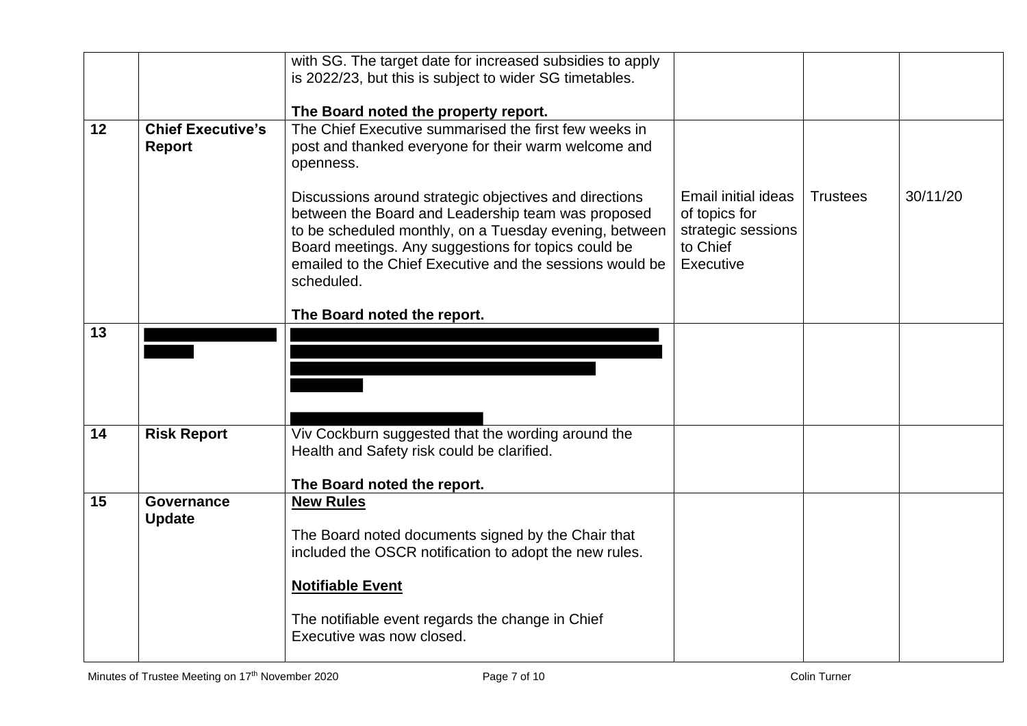|                 |                                           | with SG. The target date for increased subsidies to apply                                                                                                                                                                                                                                               |                                                                                     |                 |          |
|-----------------|-------------------------------------------|---------------------------------------------------------------------------------------------------------------------------------------------------------------------------------------------------------------------------------------------------------------------------------------------------------|-------------------------------------------------------------------------------------|-----------------|----------|
|                 |                                           | is 2022/23, but this is subject to wider SG timetables.                                                                                                                                                                                                                                                 |                                                                                     |                 |          |
|                 |                                           |                                                                                                                                                                                                                                                                                                         |                                                                                     |                 |          |
| 12 <sub>2</sub> | <b>Chief Executive's</b><br><b>Report</b> | The Board noted the property report.<br>The Chief Executive summarised the first few weeks in<br>post and thanked everyone for their warm welcome and<br>openness.                                                                                                                                      |                                                                                     |                 |          |
|                 |                                           | Discussions around strategic objectives and directions<br>between the Board and Leadership team was proposed<br>to be scheduled monthly, on a Tuesday evening, between<br>Board meetings. Any suggestions for topics could be<br>emailed to the Chief Executive and the sessions would be<br>scheduled. | Email initial ideas<br>of topics for<br>strategic sessions<br>to Chief<br>Executive | <b>Trustees</b> | 30/11/20 |
|                 |                                           | The Board noted the report.                                                                                                                                                                                                                                                                             |                                                                                     |                 |          |
| 13              |                                           |                                                                                                                                                                                                                                                                                                         |                                                                                     |                 |          |
| 14              | <b>Risk Report</b>                        | Viv Cockburn suggested that the wording around the<br>Health and Safety risk could be clarified.<br>The Board noted the report.                                                                                                                                                                         |                                                                                     |                 |          |
| 15              | <b>Governance</b><br><b>Update</b>        | <b>New Rules</b><br>The Board noted documents signed by the Chair that<br>included the OSCR notification to adopt the new rules.<br><b>Notifiable Event</b><br>The notifiable event regards the change in Chief<br>Executive was now closed.                                                            |                                                                                     |                 |          |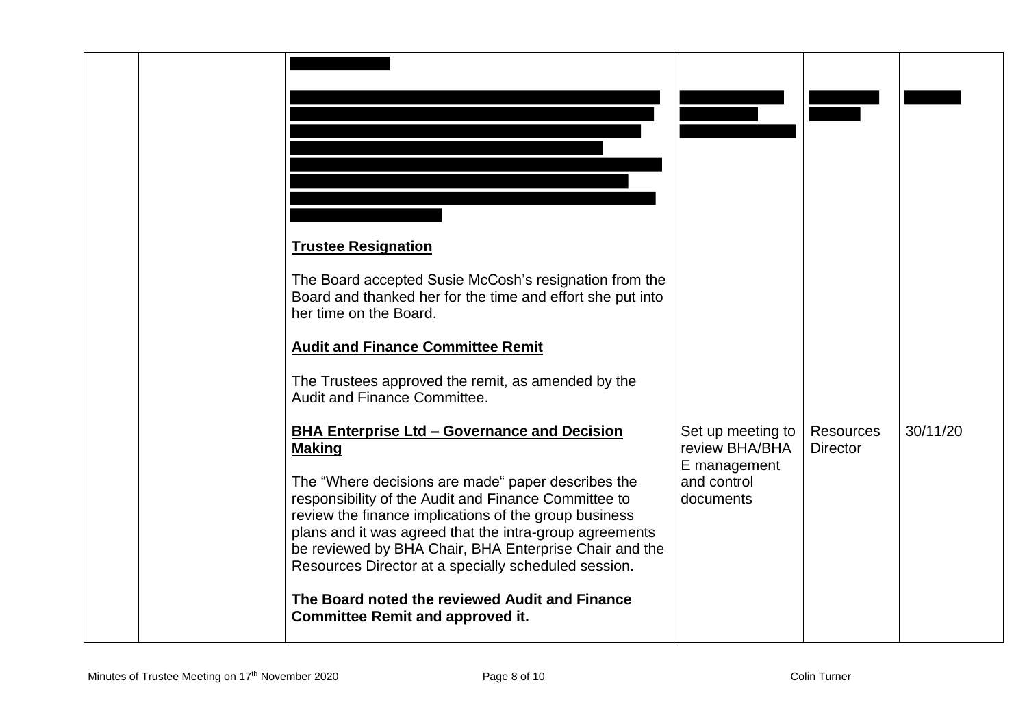|  | <b>Trustee Resignation</b><br>The Board accepted Susie McCosh's resignation from the<br>Board and thanked her for the time and effort she put into<br>her time on the Board.<br><b>Audit and Finance Committee Remit</b><br>The Trustees approved the remit, as amended by the<br>Audit and Finance Committee.<br><b>BHA Enterprise Ltd - Governance and Decision</b><br><b>Making</b><br>The "Where decisions are made" paper describes the<br>responsibility of the Audit and Finance Committee to<br>review the finance implications of the group business<br>plans and it was agreed that the intra-group agreements<br>be reviewed by BHA Chair, BHA Enterprise Chair and the<br>Resources Director at a specially scheduled session.<br>The Board noted the reviewed Audit and Finance<br><b>Committee Remit and approved it.</b> | Set up meeting to<br>review BHA/BHA<br>E management<br>and control<br>documents | <b>Resources</b><br><b>Director</b> | 30/11/20 |
|--|-----------------------------------------------------------------------------------------------------------------------------------------------------------------------------------------------------------------------------------------------------------------------------------------------------------------------------------------------------------------------------------------------------------------------------------------------------------------------------------------------------------------------------------------------------------------------------------------------------------------------------------------------------------------------------------------------------------------------------------------------------------------------------------------------------------------------------------------|---------------------------------------------------------------------------------|-------------------------------------|----------|